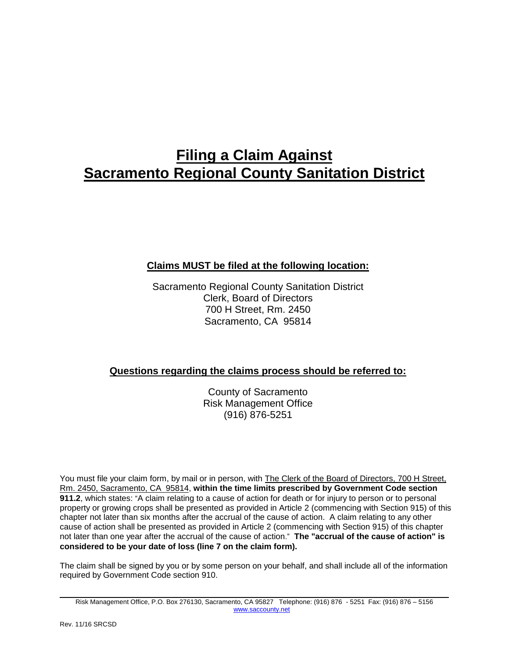# **Filing a Claim Against Sacramento Regional County Sanitation District**

## **Claims MUST be filed at the following location:**

Sacramento Regional County Sanitation District Clerk, Board of Directors 700 H Street, Rm. 2450 Sacramento, CA 95814

### **Questions regarding the claims process should be referred to:**

County of Sacramento Risk Management Office (916) 876-5251

You must file your claim form, by mail or in person, with The Clerk of the Board of Directors, 700 H Street, Rm. 2450, Sacramento, CA 95814, **within the time limits prescribed by Government Code section 911.2**, which states: "A claim relating to a cause of action for death or for injury to person or to personal property or growing crops shall be presented as provided in Article 2 (commencing with Section 915) of this chapter not later than six months after the accrual of the cause of action. A claim relating to any other cause of action shall be presented as provided in Article 2 (commencing with Section 915) of this chapter not later than one year after the accrual of the cause of action." **The "accrual of the cause of action" is considered to be your date of loss (line 7 on the claim form).** 

The claim shall be signed by you or by some person on your behalf, and shall include all of the information required by Government Code section 910.

Risk Management Office, P.O. Box 276130, Sacramento, CA 95827 Telephone: (916) 876 - 5251 Fax: (916) 876 – 5156 [www.saccounty.net](http://www.saccounty.net/)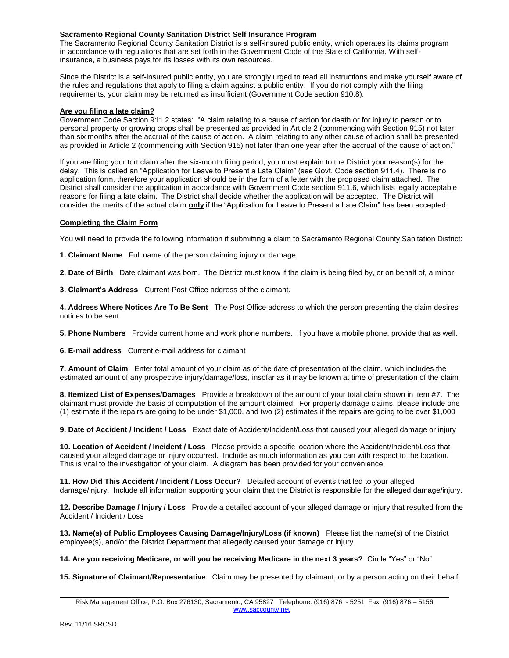#### **Sacramento Regional County Sanitation District Self Insurance Program**

The Sacramento Regional County Sanitation District is a self-insured public entity, which operates its claims program in accordance with regulations that are set forth in the Government Code of the State of California. With selfinsurance, a business pays for its losses with its own resources.

Since the District is a self-insured public entity, you are strongly urged to read all instructions and make yourself aware of the rules and regulations that apply to filing a claim against a public entity. If you do not comply with the filing requirements, your claim may be returned as insufficient (Government Code section 910.8).

#### **Are you filing a late claim?**

Government Code Section 911.2 states: "A claim relating to a cause of action for death or for injury to person or to personal property or growing crops shall be presented as provided in Article 2 (commencing with Section 915) not later than six months after the accrual of the cause of action. A claim relating to any other cause of action shall be presented as provided in Article 2 (commencing with Section 915) not later than one year after the accrual of the cause of action."

If you are filing your tort claim after the six-month filing period, you must explain to the District your reason(s) for the delay. This is called an "Application for Leave to Present a Late Claim" (see Govt. Code section 911.4). There is no application form, therefore your application should be in the form of a letter with the proposed claim attached. The District shall consider the application in accordance with Government Code section 911.6, which lists legally acceptable reasons for filing a late claim. The District shall decide whether the application will be accepted. The District will consider the merits of the actual claim **only** if the "Application for Leave to Present a Late Claim" has been accepted.

#### **Completing the Claim Form**

You will need to provide the following information if submitting a claim to Sacramento Regional County Sanitation District:

**1. Claimant Name** Full name of the person claiming injury or damage.

**2. Date of Birth** Date claimant was born. The District must know if the claim is being filed by, or on behalf of, a minor.

**3. Claimant's Address** Current Post Office address of the claimant.

**4. Address Where Notices Are To Be Sent** The Post Office address to which the person presenting the claim desires notices to be sent.

**5. Phone Numbers** Provide current home and work phone numbers. If you have a mobile phone, provide that as well.

**6. E-mail address** Current e-mail address for claimant

**7. Amount of Claim** Enter total amount of your claim as of the date of presentation of the claim, which includes the estimated amount of any prospective injury/damage/loss, insofar as it may be known at time of presentation of the claim

**8. Itemized List of Expenses/Damages** Provide a breakdown of the amount of your total claim shown in item #7. The claimant must provide the basis of computation of the amount claimed. For property damage claims, please include one (1) estimate if the repairs are going to be under \$1,000, and two (2) estimates if the repairs are going to be over \$1,000

**9. Date of Accident / Incident / Loss** Exact date of Accident/Incident/Loss that caused your alleged damage or injury

**10. Location of Accident / Incident / Loss** Please provide a specific location where the Accident/Incident/Loss that caused your alleged damage or injury occurred. Include as much information as you can with respect to the location. This is vital to the investigation of your claim. A diagram has been provided for your convenience.

**11. How Did This Accident / Incident / Loss Occur?** Detailed account of events that led to your alleged damage/injury. Include all information supporting your claim that the District is responsible for the alleged damage/injury.

**12. Describe Damage / Injury / Loss** Provide a detailed account of your alleged damage or injury that resulted from the Accident / Incident / Loss

**13. Name(s) of Public Employees Causing Damage/Injury/Loss (if known)** Please list the name(s) of the District employee(s), and/or the District Department that allegedly caused your damage or injury

**14. Are you receiving Medicare, or will you be receiving Medicare in the next 3 years?** Circle "Yes" or "No"

**15. Signature of Claimant/Representative** Claim may be presented by claimant, or by a person acting on their behalf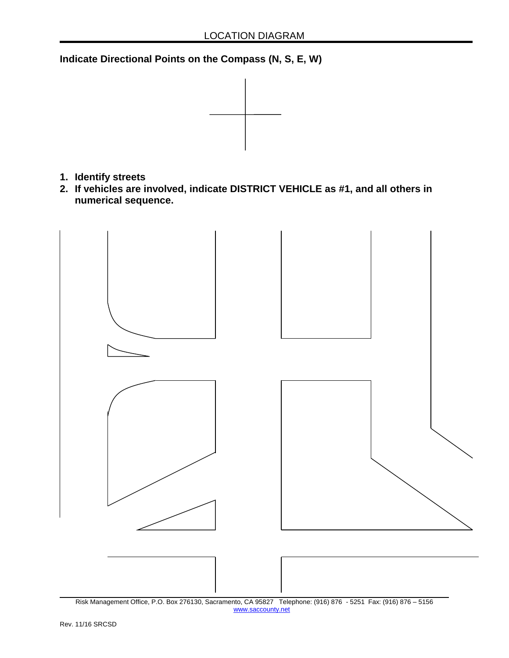**Indicate Directional Points on the Compass (N, S, E, W)** 



- **1. Identify streets**
- **2. If vehicles are involved, indicate DISTRICT VEHICLE as #1, and all others in numerical sequence.**



Risk Management Office, P.O. Box 276130, Sacramento, CA 95827 Telephone: (916) 876 - 5251 Fax: (916) 876 – 5156 [www.saccounty.net](http://www.saccounty.net/)